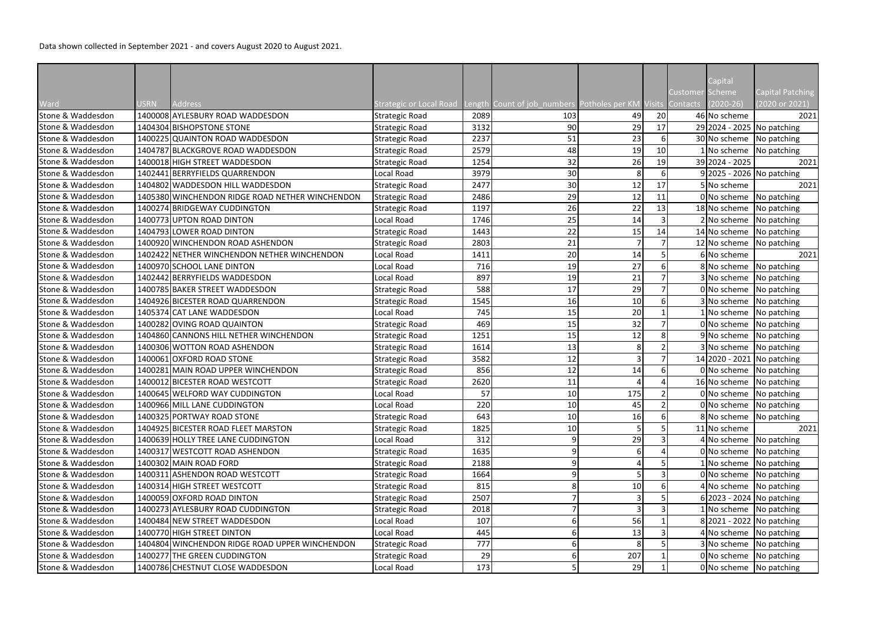|                   |             |                                                 |                         |      |                                             |     |                |                                    | Capital                    |                                    |
|-------------------|-------------|-------------------------------------------------|-------------------------|------|---------------------------------------------|-----|----------------|------------------------------------|----------------------------|------------------------------------|
| Ward              | <b>USRN</b> | Address                                         | Strategic or Local Road |      | Length Count of job numbers Potholes per KM |     |                | Customer Scheme<br>Visits Contacts | $(2020 - 26)$              | Capital Patching<br>(2020 or 2021) |
| Stone & Waddesdon |             | 1400008 AYLESBURY ROAD WADDESDON                | <b>Strategic Road</b>   | 2089 | 103                                         | 49  | 20             |                                    | 46 No scheme               | 2021                               |
| Stone & Waddesdon |             | 1404304 BISHOPSTONE STONE                       | <b>Strategic Road</b>   | 3132 | 90                                          | 29  | 17             |                                    | 29 2024 - 2025 No patching |                                    |
| Stone & Waddesdon |             | 1400225 QUAINTON ROAD WADDESDON                 | <b>Strategic Road</b>   | 2237 | 51                                          | 23  | $6 \mid$       |                                    | 30 No scheme               | No patching                        |
| Stone & Waddesdon |             | 1404787 BLACKGROVE ROAD WADDESDON               | <b>Strategic Road</b>   | 2579 | 48                                          | 19  | 10             |                                    | $1$ No scheme              | No patching                        |
| Stone & Waddesdon |             | 1400018 HIGH STREET WADDESDON                   | <b>Strategic Road</b>   | 1254 | 32                                          | 26  | 19             |                                    | 39 2024 - 2025             | 2021                               |
| Stone & Waddesdon |             | 1402441 BERRYFIELDS QUARRENDON                  | Local Road              | 3979 | 30                                          | 8   | $6 \mid$       |                                    | 9 2025 - 2026 No patching  |                                    |
| Stone & Waddesdon |             | 1404802 WADDESDON HILL WADDESDON                | <b>Strategic Road</b>   | 2477 | 30                                          | 12  | 17             |                                    | 5 No scheme                | 2021                               |
| Stone & Waddesdon |             | 1405380 WINCHENDON RIDGE ROAD NETHER WINCHENDON | <b>Strategic Road</b>   | 2486 | 29                                          | 12  | 11             |                                    | 0 No scheme                | No patching                        |
| Stone & Waddesdon |             | 1400274 BRIDGEWAY CUDDINGTON                    | <b>Strategic Road</b>   | 1197 | 26                                          | 22  | 13             |                                    | 18 No scheme               | No patching                        |
| Stone & Waddesdon |             | 1400773 UPTON ROAD DINTON                       | Local Road              | 1746 | 25                                          | 14  |                |                                    | 2 No scheme                | No patching                        |
| Stone & Waddesdon |             | 1404793 LOWER ROAD DINTON                       | <b>Strategic Road</b>   | 1443 | 22                                          | 15  | 14             |                                    | 14 No scheme               | No patching                        |
| Stone & Waddesdon |             | 1400920 WINCHENDON ROAD ASHENDON                | <b>Strategic Road</b>   | 2803 | 21                                          | 7   |                |                                    | 12 No scheme               | No patching                        |
| Stone & Waddesdon |             | 1402422 NETHER WINCHENDON NETHER WINCHENDON     | Local Road              | 1411 | 20                                          | 14  |                |                                    | 6 No scheme                | 2021                               |
| Stone & Waddesdon |             | 1400970 SCHOOL LANE DINTON                      | Local Road              | 716  | 19                                          | 27  | 6              |                                    | 8 No scheme                | No patching                        |
| Stone & Waddesdon |             | 1402442 BERRYFIELDS WADDESDON                   | Local Road              | 897  | 19                                          | 21  |                |                                    | 3 No scheme                | No patching                        |
| Stone & Waddesdon |             | 1400785 BAKER STREET WADDESDON                  | <b>Strategic Road</b>   | 588  | 17                                          | 29  |                |                                    | 0 No scheme                | No patching                        |
| Stone & Waddesdon |             | 1404926 BICESTER ROAD QUARRENDON                | <b>Strategic Road</b>   | 1545 | 16                                          | 10  | $6 \mid$       |                                    | 3 No scheme                | No patching                        |
| Stone & Waddesdon |             | 1405374 CAT LANE WADDESDON                      | Local Road              | 745  | 15                                          | 20  |                |                                    | 1 No scheme                | No patching                        |
| Stone & Waddesdon |             | 1400282 OVING ROAD QUAINTON                     | <b>Strategic Road</b>   | 469  | 15                                          | 32  |                |                                    | 0 No scheme                | No patching                        |
| Stone & Waddesdon |             | 1404860 CANNONS HILL NETHER WINCHENDON          | <b>Strategic Road</b>   | 1251 | 15                                          | 12  |                |                                    | 9 No scheme                | No patching                        |
| Stone & Waddesdon |             | 1400306 WOTTON ROAD ASHENDON                    | <b>Strategic Road</b>   | 1614 | 13                                          |     |                |                                    | 3 No scheme                | No patching                        |
| Stone & Waddesdon |             | 1400061 OXFORD ROAD STONE                       | <b>Strategic Road</b>   | 3582 | 12                                          |     |                |                                    | 14 2020 - 2021 No patching |                                    |
| Stone & Waddesdon |             | 1400281 MAIN ROAD UPPER WINCHENDON              | <b>Strategic Road</b>   | 856  | 12                                          | 14  |                |                                    | 0 No scheme                | No patching                        |
| Stone & Waddesdon |             | 1400012 BICESTER ROAD WESTCOTT                  | <b>Strategic Road</b>   | 2620 | 11                                          |     |                |                                    | 16 No scheme               | No patching                        |
| Stone & Waddesdon |             | 1400645 WELFORD WAY CUDDINGTON                  | Local Road              | 57   | 10 <sup>1</sup>                             | 175 |                |                                    |                            | 0 No scheme   No patching          |
| Stone & Waddesdon |             | 1400966 MILL LANE CUDDINGTON                    | Local Road              | 220  | 10 <sup>1</sup>                             | 45  | $\overline{2}$ |                                    | 0 No scheme                | No patching                        |
| Stone & Waddesdon |             | 1400325 PORTWAY ROAD STONE                      | <b>Strategic Road</b>   | 643  | 10                                          | 16  |                |                                    | 8 No scheme                | No patching                        |
| Stone & Waddesdon |             | 1404925 BICESTER ROAD FLEET MARSTON             | <b>Strategic Road</b>   | 1825 | 10                                          |     |                |                                    | 11 No scheme               | 2021                               |
| Stone & Waddesdon |             | 1400639 HOLLY TREE LANE CUDDINGTON              | Local Road              | 312  |                                             | 29  |                |                                    | 4 No scheme                | No patching                        |
| Stone & Waddesdon |             | 1400317 WESTCOTT ROAD ASHENDON                  | <b>Strategic Road</b>   | 1635 |                                             |     |                |                                    | 0 No scheme                | No patching                        |
| Stone & Waddesdon |             | 1400302 MAIN ROAD FORD                          | <b>Strategic Road</b>   | 2188 | 9                                           |     |                |                                    | 1 No scheme                | No patching                        |
| Stone & Waddesdon |             | 1400311 ASHENDON ROAD WESTCOTT                  | <b>Strategic Road</b>   | 1664 |                                             |     |                |                                    | $0$ No scheme              | No patching                        |
| Stone & Waddesdon |             | 1400314 HIGH STREET WESTCOTT                    | <b>Strategic Road</b>   | 815  |                                             | 10  |                |                                    | 4 No scheme                | No patching                        |
| Stone & Waddesdon |             | 1400059 OXFORD ROAD DINTON                      | <b>Strategic Road</b>   | 2507 |                                             |     |                |                                    | 6 2023 - 2024 No patching  |                                    |
| Stone & Waddesdon |             | 1400273 AYLESBURY ROAD CUDDINGTON               | <b>Strategic Road</b>   | 2018 |                                             |     |                |                                    | 1 No scheme                | No patching                        |
| Stone & Waddesdon |             | 1400484 NEW STREET WADDESDON                    | Local Road              | 107  |                                             | 56  |                |                                    |                            | 8 2021 - 2022 No patching          |
| Stone & Waddesdon |             | 1400770 HIGH STREET DINTON                      | Local Road              | 445  |                                             | 13  |                |                                    | 4 No scheme                | No patching                        |
| Stone & Waddesdon |             | 1404804 WINCHENDON RIDGE ROAD UPPER WINCHENDON  | <b>Strategic Road</b>   | 777  |                                             |     |                |                                    | 3 No scheme                | No patching                        |
| Stone & Waddesdon |             | 1400277 THE GREEN CUDDINGTON                    | <b>Strategic Road</b>   | 29   |                                             | 207 |                |                                    | 0 No scheme                | No patching                        |
| Stone & Waddesdon |             | 1400786 CHESTNUT CLOSE WADDESDON                | Local Road              | 173  |                                             | 29  |                |                                    | 0 No scheme                | No patching                        |